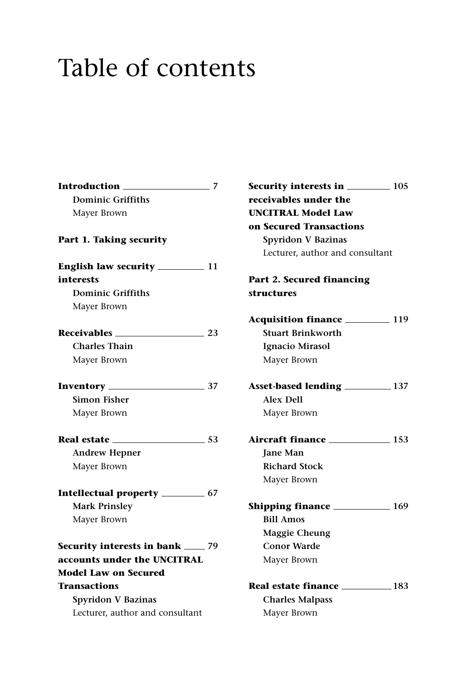## Table of contents

| Introduction                              | 7   |
|-------------------------------------------|-----|
| <b>Dominic Griffiths</b>                  |     |
| Mayer Brown                               |     |
| Part 1. Taking security                   |     |
|                                           |     |
| interests                                 |     |
| <b>Dominic Griffiths</b>                  |     |
| Mayer Brown                               |     |
| Receivables                               | 23  |
| <b>Charles Thain</b>                      |     |
| Mayer Brown                               |     |
| Inventory __                              | 37  |
| Simon Fisher                              |     |
| Mayer Brown                               |     |
| Real estate                               | .53 |
| <b>Andrew Hepner</b>                      |     |
| Mayer Brown                               |     |
| Intellectual property __________ 67       |     |
| <b>Mark Prinsley</b>                      |     |
| Mayer Brown                               |     |
| <b>Security interests in bank</b> ____ 79 |     |
| accounts under the UNCITRAL               |     |
| <b>Model Law on Secured</b>               |     |
| <b>Transactions</b>                       |     |
| Spyridon V Bazinas                        |     |
| Lecturer, author and consultant           |     |

| <b>Security interests in ___________ 105</b> |  |
|----------------------------------------------|--|
| receivables under the                        |  |
| <b>UNCITRAL Model Law</b>                    |  |
| on Secured Transactions                      |  |
| <b>Spyridon V Bazinas</b>                    |  |
| Lecturer, author and consultant              |  |
| Part 2. Secured financing                    |  |
| structures                                   |  |
|                                              |  |
| Acquisition finance 119                      |  |
| Stuart Brinkworth                            |  |
| Ignacio Mirasol                              |  |
| Mayer Brown                                  |  |
| Asset-based lending __________ 137           |  |
| <b>Alex Dell</b>                             |  |
| Mayer Brown                                  |  |
| Aircraft finance 153                         |  |
| <b>Jane Man</b>                              |  |
| <b>Richard Stock</b>                         |  |
| Mayer Brown                                  |  |
| <b>Shipping finance</b> 169                  |  |
| <b>Bill Amos</b>                             |  |
| <b>Maggie Cheung</b>                         |  |
| <b>Conor Warde</b>                           |  |
| Mayer Brown                                  |  |
|                                              |  |
| <b>Charles Malpass</b>                       |  |
| Mayer Brown                                  |  |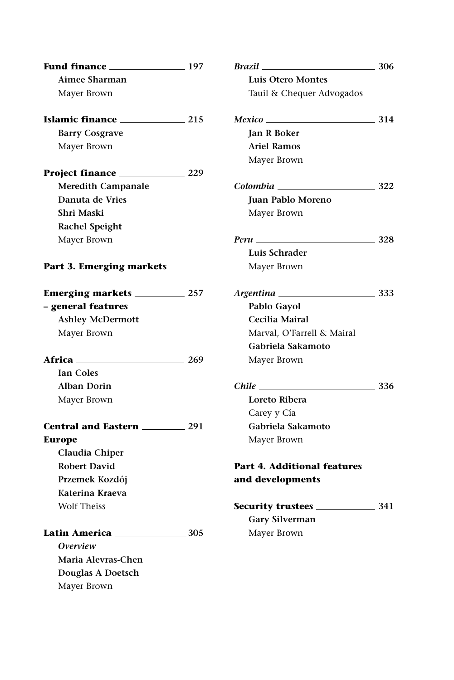| Fund finance 197          |     | <b>Brazil</b>                           | $=$ 306 |
|---------------------------|-----|-----------------------------------------|---------|
| Aimee Sharman             |     | Luis Otero Montes                       |         |
| Mayer Brown               |     | Tauil & Chequer Advogados               |         |
| Islamic finance 215       |     | $Mexico \hspace{2.5cm} 314$             |         |
| <b>Barry Cosgrave</b>     |     | Jan R Boker                             |         |
| Mayer Brown               |     | <b>Ariel Ramos</b>                      |         |
|                           |     | Mayer Brown                             |         |
| Project finance 229       |     |                                         |         |
| <b>Meredith Campanale</b> |     | $Colombia$ 322                          |         |
| Danuta de Vries           |     | Juan Pablo Moreno                       |         |
| Shri Maski                |     | Mayer Brown                             |         |
| <b>Rachel Speight</b>     |     |                                         |         |
| Mayer Brown               |     |                                         |         |
|                           |     | Luis Schrader                           |         |
| Part 3. Emerging markets  |     | Mayer Brown                             |         |
|                           |     |                                         |         |
| - general features        |     | Pablo Gayol                             |         |
| <b>Ashley McDermott</b>   |     | Cecilia Mairal                          |         |
| Mayer Brown               |     | Marval, O'Farrell & Mairal              |         |
|                           |     | Gabriela Sakamoto                       |         |
| Africa 269                |     | Mayer Brown                             |         |
| Ian Coles                 |     |                                         |         |
| <b>Alban Dorin</b>        |     | <i>Chile</i> $\qquad \qquad \qquad$ 336 |         |
| Mayer Brown               |     | Loreto Ribera                           |         |
|                           |     | Carey y Cía                             |         |
| Central and Eastern 291   |     | Gabriela Sakamoto                       |         |
| <b>Europe</b>             |     | Mayer Brown                             |         |
| Claudia Chiper            |     |                                         |         |
| <b>Robert David</b>       |     | <b>Part 4. Additional features</b>      |         |
| Przemek Kozdój            |     | and developments                        |         |
| Katerina Kraeva           |     |                                         |         |
| <b>Wolf Theiss</b>        |     |                                         |         |
|                           |     | <b>Gary Silverman</b>                   |         |
| Latin America             | 305 | Mayer Brown                             |         |
| Overview                  |     |                                         |         |
| Maria Alevras-Chen        |     |                                         |         |
| Douglas A Doetsch         |     |                                         |         |
| Mayer Brown               |     |                                         |         |
|                           |     |                                         |         |